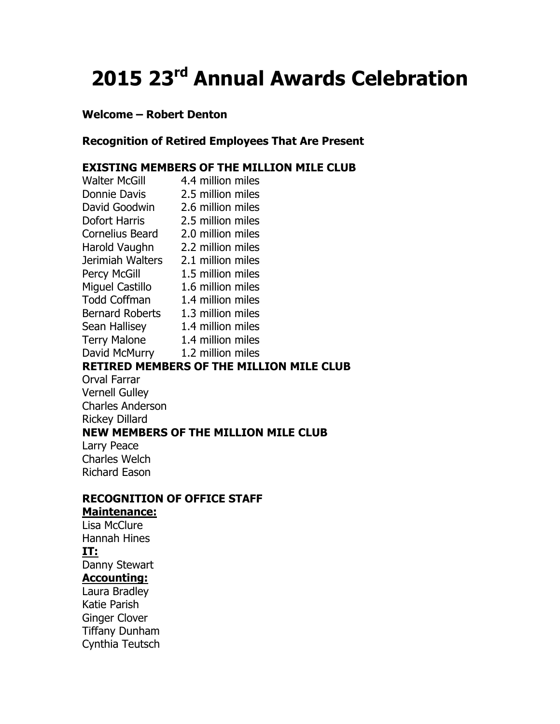# 2015 23<sup>rd</sup> Annual Awards Celebration

## Welcome – Robert Denton

## Recognition of Retired Employees That Are Present

## EXISTING MEMBERS OF THE MILLION MILE CLUB

| <b>Walter McGill</b>               | 4.4 million miles                               |
|------------------------------------|-------------------------------------------------|
| Donnie Davis                       | 2.5 million miles                               |
| David Goodwin 2.6 million miles    |                                                 |
| Dofort Harris 2.5 million miles    |                                                 |
| Cornelius Beard 2.0 million miles  |                                                 |
| Harold Vaughn 2.2 million miles    |                                                 |
| Jerimiah Walters 2.1 million miles |                                                 |
| <b>Percy McGill</b>                | 1.5 million miles                               |
| <b>Miguel Castillo</b>             | 1.6 million miles                               |
| <b>Todd Coffman</b>                | 1.4 million miles                               |
| Bernard Roberts 1.3 million miles  |                                                 |
| Sean Hallisey 1.4 million miles    |                                                 |
| <b>Terry Malone</b>                | 1.4 million miles                               |
| David McMurry 1.2 million miles    |                                                 |
|                                    | <b>RETIRED MEMBERS OF THE MILLION MILE CLUB</b> |
| Orval Farrar                       |                                                 |
| <b>Vernell Gulley</b>              |                                                 |
| <b>Charles Anderson</b>            |                                                 |
| <b>Rickey Dillard</b>              |                                                 |
|                                    | <b>NEW MEMBERS OF THE MILLION MILE CLUB</b>     |
| Larry Peace                        |                                                 |
| <b>Charles Welch</b>               |                                                 |
| <b>Richard Eason</b>               |                                                 |
|                                    |                                                 |
|                                    |                                                 |

## RECOGNITION OF OFFICE STAFF

# Maintenance:

Lisa McClure Hannah Hines IT: Danny Stewart Accounting: Laura Bradley

Katie Parish Ginger Clover Tiffany Dunham Cynthia Teutsch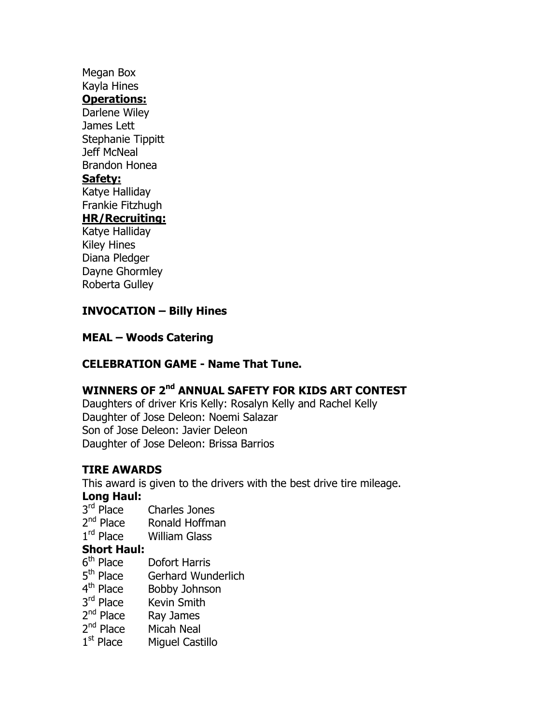## Megan Box Kayla Hines Operations: Darlene Wiley James Lett Stephanie Tippitt Jeff McNeal Brandon Honea Safety: Katye Halliday Frankie Fitzhugh HR/Recruiting: Katye Halliday Kiley Hines

Diana Pledger Dayne Ghormley Roberta Gulley

## INVOCATION – Billy Hines

#### MEAL – Woods Catering

## CELEBRATION GAME - Name That Tune.

# WINNERS OF 2<sup>nd</sup> ANNUAL SAFETY FOR KIDS ART CONTEST

Daughters of driver Kris Kelly: Rosalyn Kelly and Rachel Kelly Daughter of Jose Deleon: Noemi Salazar Son of Jose Deleon: Javier Deleon Daughter of Jose Deleon: Brissa Barrios

## TIRE AWARDS

This award is given to the drivers with the best drive tire mileage.

#### Long Haul:

- $3<sup>rd</sup>$  Place Charles Jones
- $2<sup>nd</sup>$  Place Ronald Hoffman
- $1<sup>rd</sup>$  Place William Glass

## Short Haul:

- 6<sup>th</sup> Place Dofort Harris
- 5<sup>th</sup> Place Gerhard Wunderlich
- 4<sup>th</sup> Place Bobby Johnson
- 3<sup>rd</sup> Place Kevin Smith
- 2<sup>nd</sup> Place Ray James
- 2<sup>nd</sup> Place Micah Neal
- $1<sup>st</sup>$  Place Miguel Castillo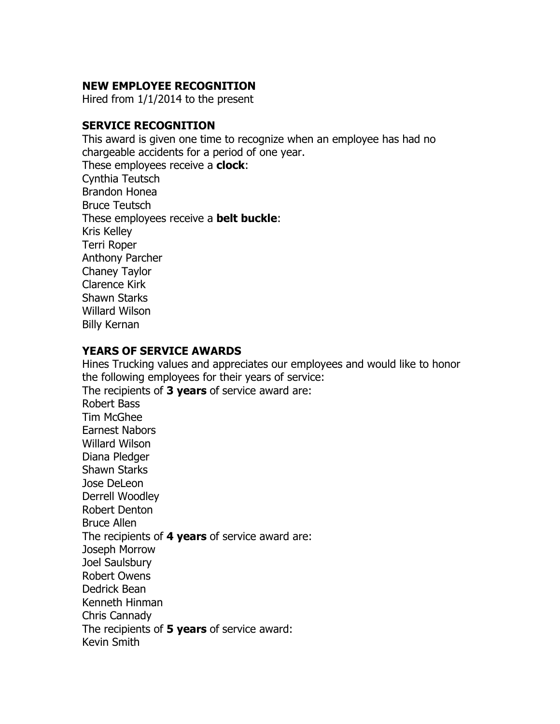## NEW EMPLOYEE RECOGNITION

Hired from 1/1/2014 to the present

## SERVICE RECOGNITION

This award is given one time to recognize when an employee has had no chargeable accidents for a period of one year. These employees receive a **clock**: Cynthia Teutsch Brandon Honea Bruce Teutsch These employees receive a **belt buckle**: Kris Kelley Terri Roper Anthony Parcher Chaney Taylor Clarence Kirk Shawn Starks Willard Wilson Billy Kernan

## YEARS OF SERVICE AWARDS

Hines Trucking values and appreciates our employees and would like to honor the following employees for their years of service: The recipients of 3 years of service award are: Robert Bass Tim McGhee Earnest Nabors Willard Wilson Diana Pledger Shawn Starks Jose DeLeon Derrell Woodley Robert Denton Bruce Allen The recipients of 4 years of service award are: Joseph Morrow Joel Saulsbury Robert Owens Dedrick Bean Kenneth Hinman Chris Cannady The recipients of 5 years of service award: Kevin Smith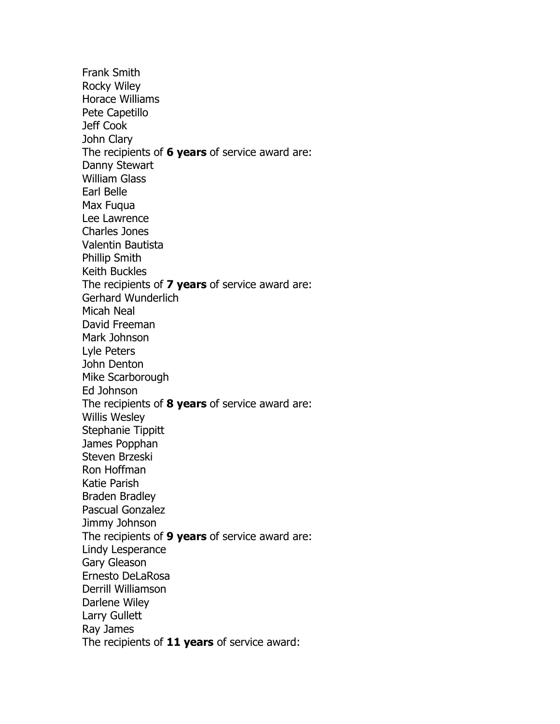Frank Smith Rocky Wiley Horace Williams Pete Capetillo Jeff Cook John Clary The recipients of 6 years of service award are: Danny Stewart William Glass Earl Belle Max Fuqua Lee Lawrence Charles Jones Valentin Bautista Phillip Smith Keith Buckles The recipients of 7 years of service award are: Gerhard Wunderlich Micah Neal David Freeman Mark Johnson Lyle Peters John Denton Mike Scarborough Ed Johnson The recipients of 8 years of service award are: Willis Wesley Stephanie Tippitt James Popphan Steven Brzeski Ron Hoffman Katie Parish Braden Bradley Pascual Gonzalez Jimmy Johnson The recipients of 9 years of service award are: Lindy Lesperance Gary Gleason Ernesto DeLaRosa Derrill Williamson Darlene Wiley Larry Gullett Ray James The recipients of 11 years of service award: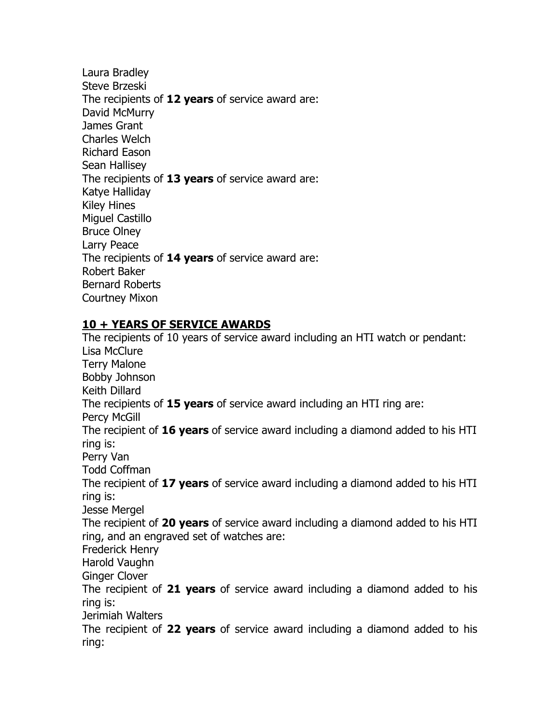Laura Bradley Steve Brzeski The recipients of 12 years of service award are: David McMurry James Grant Charles Welch Richard Eason Sean Hallisey The recipients of 13 years of service award are: Katye Halliday Kiley Hines Miguel Castillo Bruce Olney Larry Peace The recipients of 14 years of service award are: Robert Baker Bernard Roberts Courtney Mixon

## 10 + YEARS OF SERVICE AWARDS

The recipients of 10 years of service award including an HTI watch or pendant: Lisa McClure Terry Malone Bobby Johnson Keith Dillard The recipients of 15 years of service award including an HTI ring are: Percy McGill The recipient of 16 years of service award including a diamond added to his HTI ring is: Perry Van Todd Coffman The recipient of 17 years of service award including a diamond added to his HTI ring is: Jesse Mergel The recipient of 20 years of service award including a diamond added to his HTI ring, and an engraved set of watches are: Frederick Henry Harold Vaughn Ginger Clover The recipient of 21 years of service award including a diamond added to his ring is: Jerimiah Walters The recipient of 22 years of service award including a diamond added to his ring: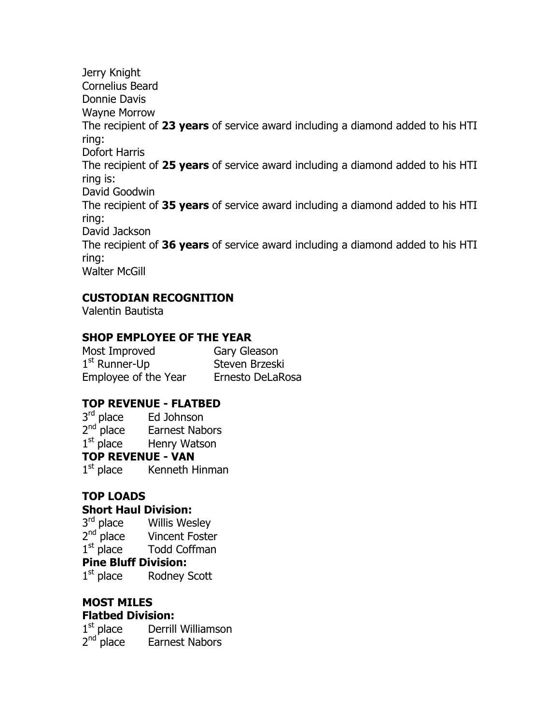Jerry Knight Cornelius Beard Donnie Davis Wayne Morrow The recipient of 23 years of service award including a diamond added to his HTI ring: Dofort Harris The recipient of 25 years of service award including a diamond added to his HTI ring is: David Goodwin The recipient of 35 years of service award including a diamond added to his HTI ring: David Jackson The recipient of 36 years of service award including a diamond added to his HTI ring: Walter McGill

# CUSTODIAN RECOGNITION

Valentin Bautista

## SHOP EMPLOYEE OF THE YEAR

Most Improved Gary Gleason 1<sup>st</sup> Runner-Up Steven Brzeski Employee of the Year Ernesto DeLaRosa

# TOP REVENUE - FLATBED

3<sup>rd</sup> place Ed Johnson 2<sup>nd</sup> place Earnest Nabors 1<sup>st</sup> place Henry Watson TOP REVENUE - VAN 1<sup>st</sup> place Kenneth Hinman

# TOP LOADS

## Short Haul Division:

3<sup>rd</sup> place Willis Wesley 2<sup>nd</sup> place Vincent Foster 1<sup>st</sup> place Todd Coffman

## Pine Bluff Division:

1<sup>st</sup> place Rodney Scott

# MOST MILES

# Flatbed Division:

1<sup>st</sup> place Derrill Williamson 2<sup>nd</sup> place Earnest Nabors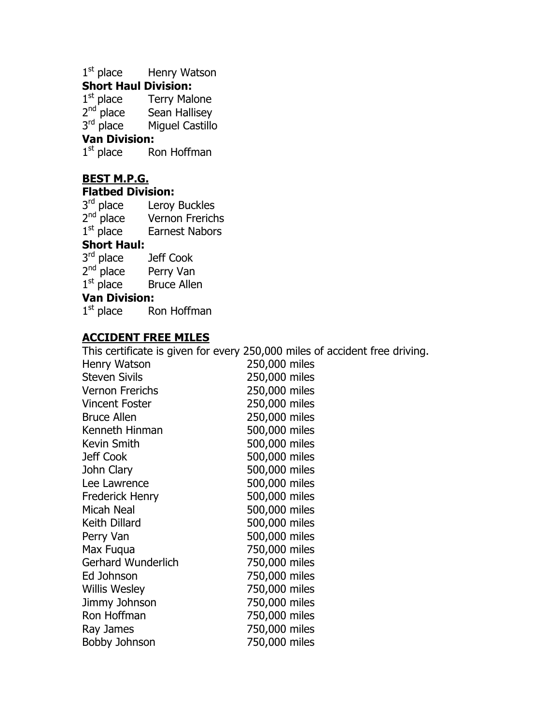1<sup>st</sup> place Henry Watson

## Short Haul Division:

1<sup>st</sup> place Terry Malone 2<sup>nd</sup> place Sean Hallisey 3<sup>rd</sup> place Miguel Castillo

## Van Division:

 $1<sup>st</sup>$  place Ron Hoffman

# BEST M.P.G.

#### Flatbed Division:

3<sup>rd</sup> place Leroy Buckles 2<sup>nd</sup> place Vernon Frerichs 1<sup>st</sup> place Earnest Nabors

#### Short Haul:

| 3 <sup>rd</sup> place | Jeff Cook          |
|-----------------------|--------------------|
| $2nd$ place           | Perry Van          |
| $1st$ place           | <b>Bruce Allen</b> |

#### Van Division:

1<sup>st</sup> place Ron Hoffman

## ACCIDENT FREE MILES

This certificate is given for every 250,000 miles of accident free driving.

| $\frac{1}{100}$ cordinate to given for every | בטטוט וווונט טו מככ |
|----------------------------------------------|---------------------|
| Henry Watson                                 | 250,000 miles       |
| <b>Steven Sivils</b>                         | 250,000 miles       |
| <b>Vernon Frerichs</b>                       | 250,000 miles       |
| <b>Vincent Foster</b>                        | 250,000 miles       |
| <b>Bruce Allen</b>                           | 250,000 miles       |
| Kenneth Hinman                               | 500,000 miles       |
| Kevin Smith                                  | 500,000 miles       |
| Jeff Cook                                    | 500,000 miles       |
| John Clary                                   | 500,000 miles       |
| Lee Lawrence                                 | 500,000 miles       |
| Frederick Henry                              | 500,000 miles       |
| Micah Neal                                   | 500,000 miles       |
| Keith Dillard                                | 500,000 miles       |
| Perry Van                                    | 500,000 miles       |
| Max Fugua                                    | 750,000 miles       |
| Gerhard Wunderlich                           | 750,000 miles       |
| Ed Johnson                                   | 750,000 miles       |
| <b>Willis Wesley</b>                         | 750,000 miles       |
| Jimmy Johnson                                | 750,000 miles       |
| Ron Hoffman                                  | 750,000 miles       |
| Ray James                                    | 750,000 miles       |
| Bobby Johnson                                | 750,000 miles       |
|                                              |                     |